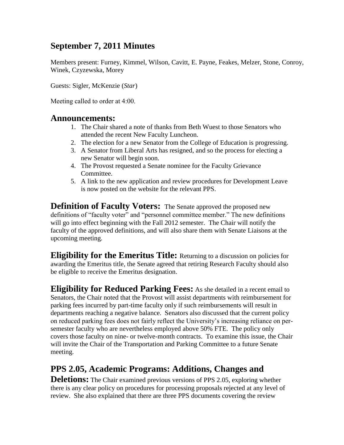# **September 7, 2011 Minutes**

Members present: Furney, Kimmel, Wilson, Cavitt, E. Payne, Feakes, Melzer, Stone, Conroy, Winek, Czyzewska, Morey

Guests: Sigler, McKenzie (*Star*)

Meeting called to order at 4:00.

#### **Announcements:**

- 1. The Chair shared a note of thanks from Beth Wuest to those Senators who attended the recent New Faculty Luncheon.
- 2. The election for a new Senator from the College of Education is progressing.
- 3. A Senator from Liberal Arts has resigned, and so the process for electing a new Senator will begin soon.
- 4. The Provost requested a Senate nominee for the Faculty Grievance Committee.
- 5. A link to the new application and review procedures for Development Leave is now posted on the website for the relevant PPS.

**Definition of Faculty Voters:** The Senate approved the proposed new definitions of "faculty voter" and "personnel committee member." The new definitions will go into effect beginning with the Fall 2012 semester. The Chair will notify the faculty of the approved definitions, and will also share them with Senate Liaisons at the upcoming meeting.

**Eligibility for the Emeritus Title:** Returning to a discussion on policies for awarding the Emeritus title, the Senate agreed that retiring Research Faculty should also be eligible to receive the Emeritus designation.

**Eligibility for Reduced Parking Fees:** As she detailed in a recent email to Senators, the Chair noted that the Provost will assist departments with reimbursement for parking fees incurred by part-time faculty only if such reimbursements will result in departments reaching a negative balance. Senators also discussed that the current policy on reduced parking fees does not fairly reflect the University's increasing reliance on persemester faculty who are nevertheless employed above 50% FTE. The policy only covers those faculty on nine- or twelve-month contracts. To examine this issue, the Chair will invite the Chair of the Transportation and Parking Committee to a future Senate meeting.

# **PPS 2.05, Academic Programs: Additions, Changes and**

**Deletions:** The Chair examined previous versions of PPS 2.05, exploring whether there is any clear policy on procedures for processing proposals rejected at any level of review. She also explained that there are three PPS documents covering the review